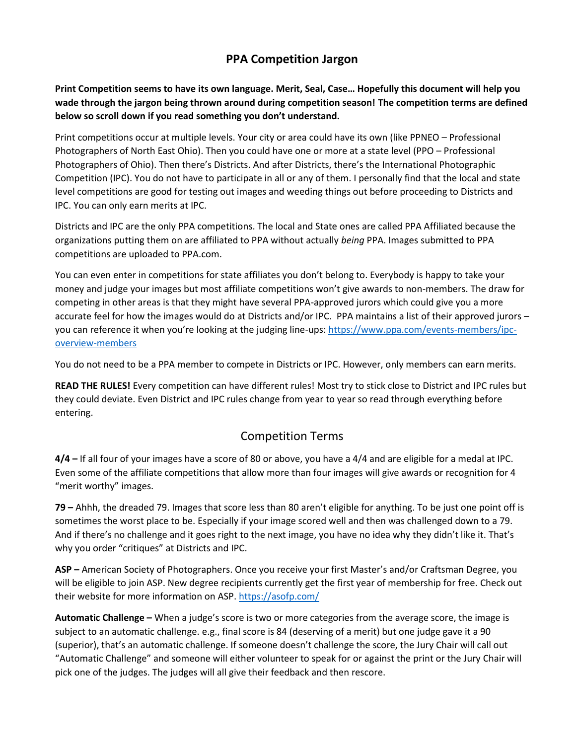## **PPA Competition Jargon**

**Print Competition seems to have its own language. Merit, Seal, Case… Hopefully this document will help you wade through the jargon being thrown around during competition season! The competition terms are defined below so scroll down if you read something you don't understand.**

Print competitions occur at multiple levels. Your city or area could have its own (like PPNEO – Professional Photographers of North East Ohio). Then you could have one or more at a state level (PPO – Professional Photographers of Ohio). Then there's Districts. And after Districts, there's the International Photographic Competition (IPC). You do not have to participate in all or any of them. I personally find that the local and state level competitions are good for testing out images and weeding things out before proceeding to Districts and IPC. You can only earn merits at IPC.

Districts and IPC are the only PPA competitions. The local and State ones are called PPA Affiliated because the organizations putting them on are affiliated to PPA without actually *being* PPA. Images submitted to PPA competitions are uploaded to PPA.com.

You can even enter in competitions for state affiliates you don't belong to. Everybody is happy to take your money and judge your images but most affiliate competitions won't give awards to non-members. The draw for competing in other areas is that they might have several PPA-approved jurors which could give you a more accurate feel for how the images would do at Districts and/or IPC. PPA maintains a list of their approved jurors – you can reference it when you're looking at the judging line-ups: [https://www.ppa.com/events-members/ipc](https://www.ppa.com/events-members/ipc-overview-members)[overview-members](https://www.ppa.com/events-members/ipc-overview-members)

You do not need to be a PPA member to compete in Districts or IPC. However, only members can earn merits.

**READ THE RULES!** Every competition can have different rules! Most try to stick close to District and IPC rules but they could deviate. Even District and IPC rules change from year to year so read through everything before entering.

### Competition Terms

**4/4 –** If all four of your images have a score of 80 or above, you have a 4/4 and are eligible for a medal at IPC. Even some of the affiliate competitions that allow more than four images will give awards or recognition for 4 "merit worthy" images.

**79 –** Ahhh, the dreaded 79. Images that score less than 80 aren't eligible for anything. To be just one point off is sometimes the worst place to be. Especially if your image scored well and then was challenged down to a 79. And if there's no challenge and it goes right to the next image, you have no idea why they didn't like it. That's why you order "critiques" at Districts and IPC.

**ASP –** American Society of Photographers. Once you receive your first Master's and/or Craftsman Degree, you will be eligible to join ASP. New degree recipients currently get the first year of membership for free. Check out their website for more information on ASP.<https://asofp.com/>

**Automatic Challenge –** When a judge's score is two or more categories from the average score, the image is subject to an automatic challenge. e.g., final score is 84 (deserving of a merit) but one judge gave it a 90 (superior), that's an automatic challenge. If someone doesn't challenge the score, the Jury Chair will call out "Automatic Challenge" and someone will either volunteer to speak for or against the print or the Jury Chair will pick one of the judges. The judges will all give their feedback and then rescore.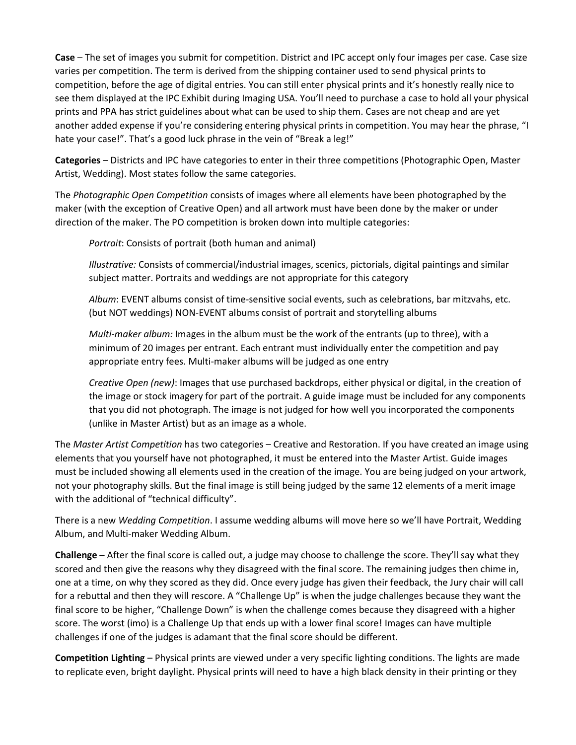**Case** – The set of images you submit for competition. District and IPC accept only four images per case. Case size varies per competition. The term is derived from the shipping container used to send physical prints to competition, before the age of digital entries. You can still enter physical prints and it's honestly really nice to see them displayed at the IPC Exhibit during Imaging USA. You'll need to purchase a case to hold all your physical prints and PPA has strict guidelines about what can be used to ship them. Cases are not cheap and are yet another added expense if you're considering entering physical prints in competition. You may hear the phrase, "I hate your case!". That's a good luck phrase in the vein of "Break a leg!"

**Categories** – Districts and IPC have categories to enter in their three competitions (Photographic Open, Master Artist, Wedding). Most states follow the same categories.

The *Photographic Open Competition* consists of images where all elements have been photographed by the maker (with the exception of Creative Open) and all artwork must have been done by the maker or under direction of the maker. The PO competition is broken down into multiple categories:

*Portrait*: Consists of portrait (both human and animal)

*Illustrative:* Consists of commercial/industrial images, scenics, pictorials, digital paintings and similar subject matter. Portraits and weddings are not appropriate for this category

*Album*: EVENT albums consist of time‐sensitive social events, such as celebrations, bar mitzvahs, etc. (but NOT weddings) NON‐EVENT albums consist of portrait and storytelling albums

*Multi-maker album:* Images in the album must be the work of the entrants (up to three), with a minimum of 20 images per entrant. Each entrant must individually enter the competition and pay appropriate entry fees. Multi‐maker albums will be judged as one entry

*Creative Open (new)*: Images that use purchased backdrops, either physical or digital, in the creation of the image or stock imagery for part of the portrait. A guide image must be included for any components that you did not photograph. The image is not judged for how well you incorporated the components (unlike in Master Artist) but as an image as a whole.

The *Master Artist Competition* has two categories – Creative and Restoration. If you have created an image using elements that you yourself have not photographed, it must be entered into the Master Artist. Guide images must be included showing all elements used in the creation of the image. You are being judged on your artwork, not your photography skills. But the final image is still being judged by the same 12 elements of a merit image with the additional of "technical difficulty".

There is a new *Wedding Competition*. I assume wedding albums will move here so we'll have Portrait, Wedding Album, and Multi-maker Wedding Album.

**Challenge** – After the final score is called out, a judge may choose to challenge the score. They'll say what they scored and then give the reasons why they disagreed with the final score. The remaining judges then chime in, one at a time, on why they scored as they did. Once every judge has given their feedback, the Jury chair will call for a rebuttal and then they will rescore. A "Challenge Up" is when the judge challenges because they want the final score to be higher, "Challenge Down" is when the challenge comes because they disagreed with a higher score. The worst (imo) is a Challenge Up that ends up with a lower final score! Images can have multiple challenges if one of the judges is adamant that the final score should be different.

**Competition Lighting** – Physical prints are viewed under a very specific lighting conditions. The lights are made to replicate even, bright daylight. Physical prints will need to have a high black density in their printing or they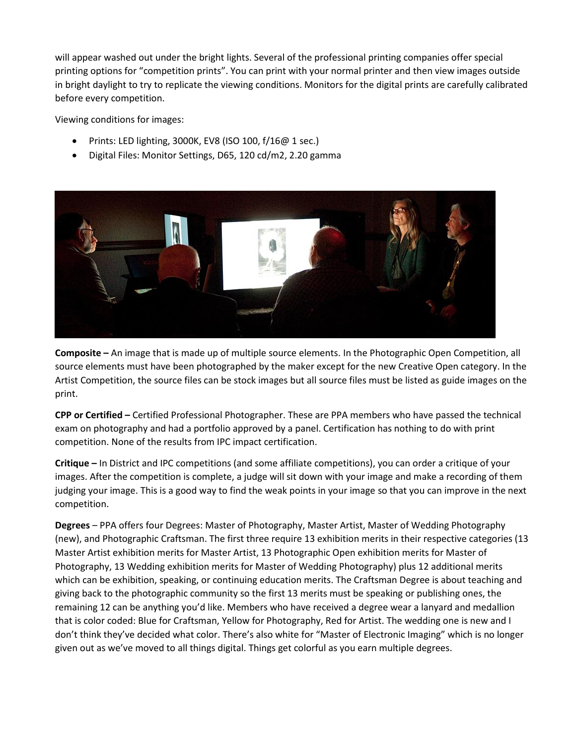will appear washed out under the bright lights. Several of the professional printing companies offer special printing options for "competition prints". You can print with your normal printer and then view images outside in bright daylight to try to replicate the viewing conditions. Monitors for the digital prints are carefully calibrated before every competition.

Viewing conditions for images:

- Prints: LED lighting, 3000K, EV8 (ISO 100, f/16@ 1 sec.)
- Digital Files: Monitor Settings, D65, 120 cd/m2, 2.20 gamma



**Composite –** An image that is made up of multiple source elements. In the Photographic Open Competition, all source elements must have been photographed by the maker except for the new Creative Open category. In the Artist Competition, the source files can be stock images but all source files must be listed as guide images on the print.

**CPP or Certified –** Certified Professional Photographer. These are PPA members who have passed the technical exam on photography and had a portfolio approved by a panel. Certification has nothing to do with print competition. None of the results from IPC impact certification.

**Critique –** In District and IPC competitions (and some affiliate competitions), you can order a critique of your images. After the competition is complete, a judge will sit down with your image and make a recording of them judging your image. This is a good way to find the weak points in your image so that you can improve in the next competition.

**Degrees** – PPA offers four Degrees: Master of Photography, Master Artist, Master of Wedding Photography (new), and Photographic Craftsman. The first three require 13 exhibition merits in their respective categories (13 Master Artist exhibition merits for Master Artist, 13 Photographic Open exhibition merits for Master of Photography, 13 Wedding exhibition merits for Master of Wedding Photography) plus 12 additional merits which can be exhibition, speaking, or continuing education merits. The Craftsman Degree is about teaching and giving back to the photographic community so the first 13 merits must be speaking or publishing ones, the remaining 12 can be anything you'd like. Members who have received a degree wear a lanyard and medallion that is color coded: Blue for Craftsman, Yellow for Photography, Red for Artist. The wedding one is new and I don't think they've decided what color. There's also white for "Master of Electronic Imaging" which is no longer given out as we've moved to all things digital. Things get colorful as you earn multiple degrees.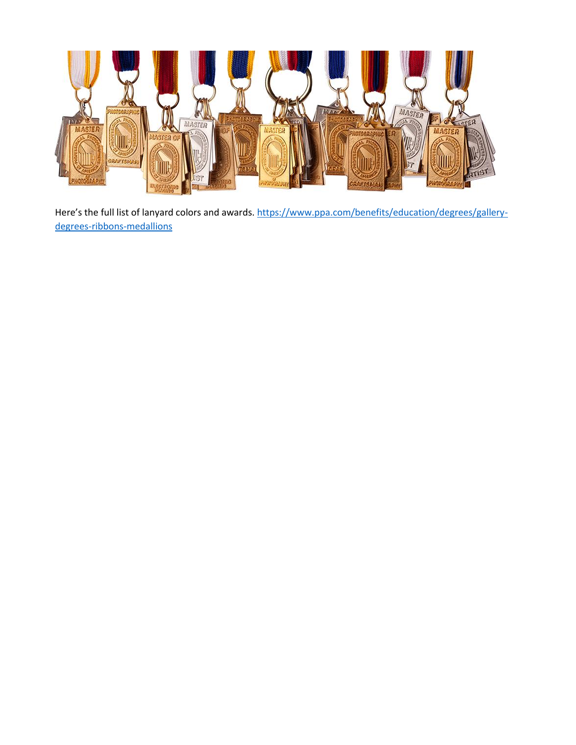

Here's the full list of lanyard colors and awards. [https://www.ppa.com/benefits/education/degrees/gallery](https://www.ppa.com/benefits/education/degrees/gallery-degrees-ribbons-medallions)[degrees-ribbons-medallions](https://www.ppa.com/benefits/education/degrees/gallery-degrees-ribbons-medallions)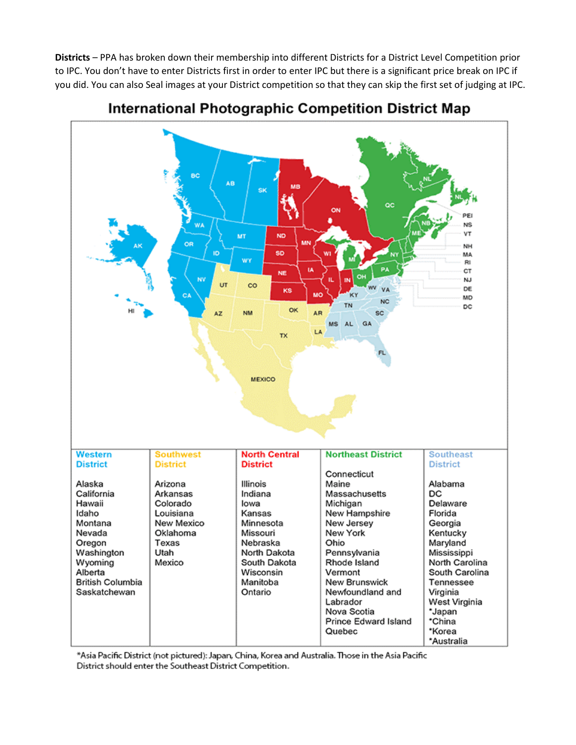**Districts** – PPA has broken down their membership into different Districts for a District Level Competition prior to IPC. You don't have to enter Districts first in order to enter IPC but there is a significant price break on IPC if you did. You can also Seal images at your District competition so that they can skip the first set of judging at IPC.



# International Photographic Competition District Map

Asia Pacific District (not pictured): Japan, China, Korea and Australia. Those in the Asia Pacific\* District should enter the Southeast District Competition.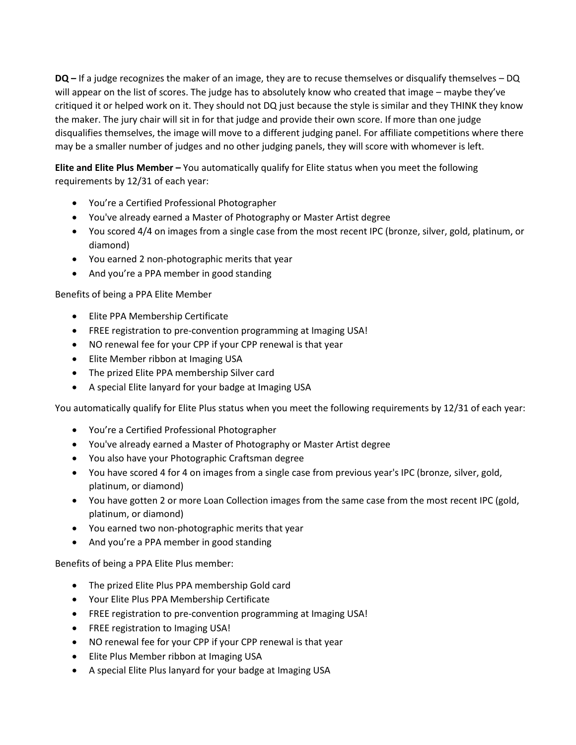**DQ –** If a judge recognizes the maker of an image, they are to recuse themselves or disqualify themselves – DQ will appear on the list of scores. The judge has to absolutely know who created that image – maybe they've critiqued it or helped work on it. They should not DQ just because the style is similar and they THINK they know the maker. The jury chair will sit in for that judge and provide their own score. If more than one judge disqualifies themselves, the image will move to a different judging panel. For affiliate competitions where there may be a smaller number of judges and no other judging panels, they will score with whomever is left.

**Elite and Elite Plus Member –** You automatically qualify for Elite status when you meet the following requirements by 12/31 of each year:

- You're a Certified Professional Photographer
- You've already earned a Master of Photography or Master Artist degree
- You scored 4/4 on images from a single case from the most recent IPC (bronze, silver, gold, platinum, or diamond)
- You earned 2 non-photographic merits that year
- And you're a PPA member in good standing

### Benefits of being a PPA Elite Member

- Elite PPA Membership Certificate
- FREE registration to pre-convention programming at Imaging USA!
- NO renewal fee for your CPP if your CPP renewal is that year
- Elite Member ribbon at Imaging USA
- The prized Elite PPA membership Silver card
- A special Elite lanyard for your badge at Imaging USA

You automatically qualify for Elite Plus status when you meet the following requirements by 12/31 of each year:

- You're a Certified Professional Photographer
- You've already earned a Master of Photography or Master Artist degree
- You also have your Photographic Craftsman degree
- You have scored 4 for 4 on images from a single case from previous year's IPC (bronze, silver, gold, platinum, or diamond)
- You have gotten 2 or more Loan Collection images from the same case from the most recent IPC (gold, platinum, or diamond)
- You earned two non-photographic merits that year
- And you're a PPA member in good standing

Benefits of being a PPA Elite Plus member:

- The prized Elite Plus PPA membership Gold card
- Your Elite Plus PPA Membership Certificate
- FREE registration to pre-convention programming at Imaging USA!
- FREE registration to Imaging USA!
- NO renewal fee for your CPP if your CPP renewal is that year
- Elite Plus Member ribbon at Imaging USA
- A special Elite Plus lanyard for your badge at Imaging USA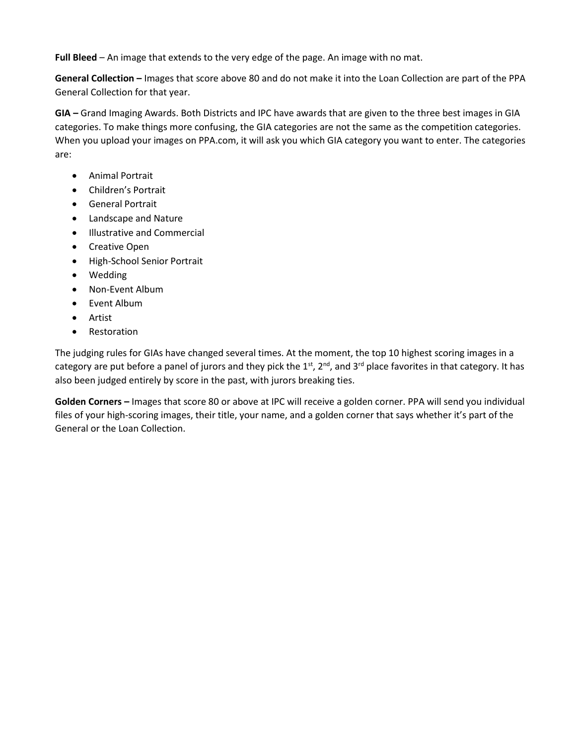**Full Bleed** – An image that extends to the very edge of the page. An image with no mat.

**General Collection –** Images that score above 80 and do not make it into the Loan Collection are part of the PPA General Collection for that year.

**GIA –** Grand Imaging Awards. Both Districts and IPC have awards that are given to the three best images in GIA categories. To make things more confusing, the GIA categories are not the same as the competition categories. When you upload your images on PPA.com, it will ask you which GIA category you want to enter. The categories are:

- Animal Portrait
- Children's Portrait
- General Portrait
- Landscape and Nature
- Illustrative and Commercial
- Creative Open
- High-School Senior Portrait
- Wedding
- Non-Event Album
- Event Album
- Artist
- Restoration

The judging rules for GIAs have changed several times. At the moment, the top 10 highest scoring images in a category are put before a panel of jurors and they pick the  $1^{st}$ ,  $2^{nd}$ , and  $3^{rd}$  place favorites in that category. It has also been judged entirely by score in the past, with jurors breaking ties.

**Golden Corners –** Images that score 80 or above at IPC will receive a golden corner. PPA will send you individual files of your high-scoring images, their title, your name, and a golden corner that says whether it's part of the General or the Loan Collection.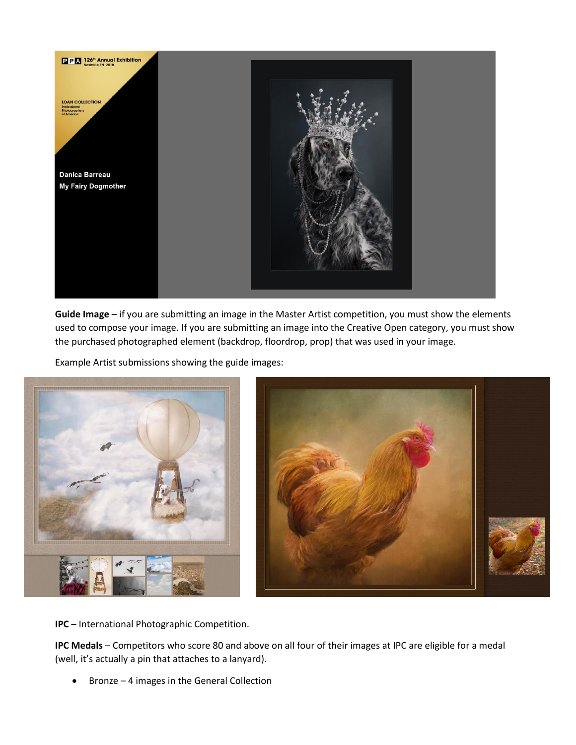

**Guide Image** – if you are submitting an image in the Master Artist competition, you must show the elements used to compose your image. If you are submitting an image into the Creative Open category, you must show the purchased photographed element (backdrop, floordrop, prop) that was used in your image.

Example Artist submissions showing the guide images:



**IPC** – International Photographic Competition.

**IPC Medals** – Competitors who score 80 and above on all four of their images at IPC are eligible for a medal (well, it's actually a pin that attaches to a lanyard).

• Bronze – 4 images in the General Collection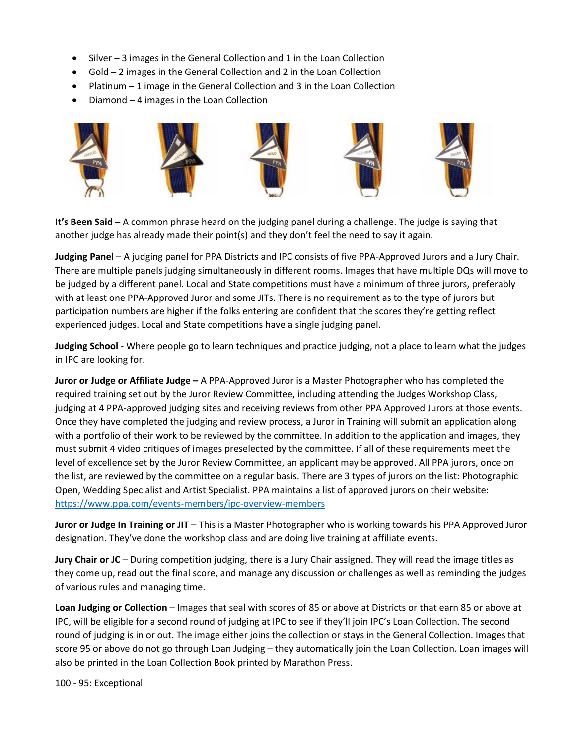- Silver 3 images in the General Collection and 1 in the Loan Collection
- Gold 2 images in the General Collection and 2 in the Loan Collection
- Platinum 1 image in the General Collection and 3 in the Loan Collection
- Diamond 4 images in the Loan Collection



**It's Been Said** – A common phrase heard on the judging panel during a challenge. The judge is saying that another judge has already made their point(s) and they don't feel the need to say it again.

**Judging Panel** – A judging panel for PPA Districts and IPC consists of five PPA-Approved Jurors and a Jury Chair. There are multiple panels judging simultaneously in different rooms. Images that have multiple DQs will move to be judged by a different panel. Local and State competitions must have a minimum of three jurors, preferably with at least one PPA-Approved Juror and some JITs. There is no requirement as to the type of jurors but participation numbers are higher if the folks entering are confident that the scores they're getting reflect experienced judges. Local and State competitions have a single judging panel.

**Judging School** - Where people go to learn techniques and practice judging, not a place to learn what the judges in IPC are looking for.

**Juror or Judge or Affiliate Judge –** A PPA-Approved Juror is a Master Photographer who has completed the required training set out by the Juror Review Committee, including attending the Judges Workshop Class, judging at 4 PPA-approved judging sites and receiving reviews from other PPA Approved Jurors at those events. Once they have completed the judging and review process, a Juror in Training will submit an application along with a portfolio of their work to be reviewed by the committee. In addition to the application and images, they must submit 4 video critiques of images preselected by the committee. If all of these requirements meet the level of excellence set by the Juror Review Committee, an applicant may be approved. All PPA jurors, once on the list, are reviewed by the committee on a regular basis. There are 3 types of jurors on the list: Photographic Open, Wedding Specialist and Artist Specialist. PPA maintains a list of approved jurors on their website: <https://www.ppa.com/events-members/ipc-overview-members>

**Juror or Judge In Training or JIT** – This is a Master Photographer who is working towards his PPA Approved Juror designation. They've done the workshop class and are doing live training at affiliate events.

**Jury Chair or JC** – During competition judging, there is a Jury Chair assigned. They will read the image titles as they come up, read out the final score, and manage any discussion or challenges as well as reminding the judges of various rules and managing time.

**Loan Judging or Collection** – Images that seal with scores of 85 or above at Districts or that earn 85 or above at IPC, will be eligible for a second round of judging at IPC to see if they'll join IPC's Loan Collection. The second round of judging is in or out. The image either joins the collection or stays in the General Collection. Images that score 95 or above do not go through Loan Judging – they automatically join the Loan Collection. Loan images will also be printed in the Loan Collection Book printed by Marathon Press.

100 - 95: Exceptional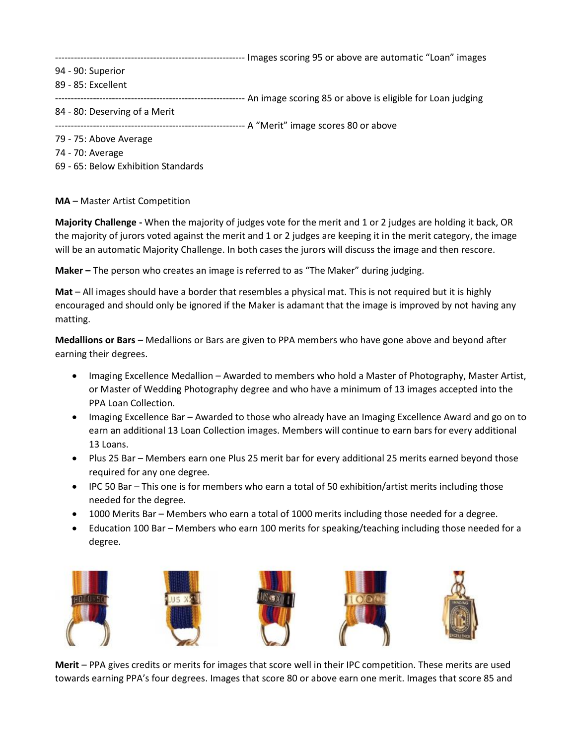------------------------------------------------------------ Images scoring 95 or above are automatic "Loan" images

- 94 90: Superior
- 89 85: Excellent

------------------------------------------------------------ An image scoring 85 or above is eligible for Loan judging

84 - 80: Deserving of a Merit

------------------------------------------------------------ A "Merit" image scores 80 or above

- 79 75: Above Average
- 74 70: Average
- 69 65: Below Exhibition Standards

### **MA** – Master Artist Competition

**Majority Challenge -** When the majority of judges vote for the merit and 1 or 2 judges are holding it back, OR the majority of jurors voted against the merit and 1 or 2 judges are keeping it in the merit category, the image will be an automatic Majority Challenge. In both cases the jurors will discuss the image and then rescore.

**Maker –** The person who creates an image is referred to as "The Maker" during judging.

**Mat** – All images should have a border that resembles a physical mat. This is not required but it is highly encouraged and should only be ignored if the Maker is adamant that the image is improved by not having any matting.

**Medallions or Bars** – Medallions or Bars are given to PPA members who have gone above and beyond after earning their degrees.

- Imaging Excellence Medallion Awarded to members who hold a Master of Photography, Master Artist, or Master of Wedding Photography degree and who have a minimum of 13 images accepted into the PPA Loan Collection.
- Imaging Excellence Bar Awarded to those who already have an Imaging Excellence Award and go on to earn an additional 13 Loan Collection images. Members will continue to earn bars for every additional 13 Loans.
- Plus 25 Bar Members earn one Plus 25 merit bar for every additional 25 merits earned beyond those required for any one degree.
- IPC 50 Bar This one is for members who earn a total of 50 exhibition/artist merits including those needed for the degree.
- 1000 Merits Bar Members who earn a total of 1000 merits including those needed for a degree.
- Education 100 Bar Members who earn 100 merits for speaking/teaching including those needed for a degree.



**Merit** – PPA gives credits or merits for images that score well in their IPC competition. These merits are used towards earning PPA's four degrees. Images that score 80 or above earn one merit. Images that score 85 and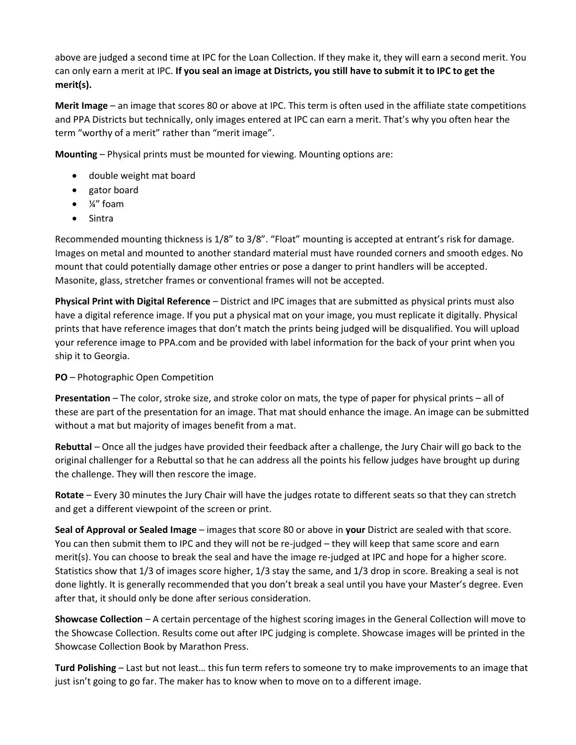above are judged a second time at IPC for the Loan Collection. If they make it, they will earn a second merit. You can only earn a merit at IPC. **If you seal an image at Districts, you still have to submit it to IPC to get the merit(s).** 

**Merit Image** – an image that scores 80 or above at IPC. This term is often used in the affiliate state competitions and PPA Districts but technically, only images entered at IPC can earn a merit. That's why you often hear the term "worthy of a merit" rather than "merit image".

**Mounting** – Physical prints must be mounted for viewing. Mounting options are:

- double weight mat board
- gator board
- ¼" foam
- Sintra

Recommended mounting thickness is 1/8" to 3/8". "Float" mounting is accepted at entrant's risk for damage. Images on metal and mounted to another standard material must have rounded corners and smooth edges. No mount that could potentially damage other entries or pose a danger to print handlers will be accepted. Masonite, glass, stretcher frames or conventional frames will not be accepted.

**Physical Print with Digital Reference** – District and IPC images that are submitted as physical prints must also have a digital reference image. If you put a physical mat on your image, you must replicate it digitally. Physical prints that have reference images that don't match the prints being judged will be disqualified. You will upload your reference image to PPA.com and be provided with label information for the back of your print when you ship it to Georgia.

**PO** – Photographic Open Competition

**Presentation** – The color, stroke size, and stroke color on mats, the type of paper for physical prints – all of these are part of the presentation for an image. That mat should enhance the image. An image can be submitted without a mat but majority of images benefit from a mat.

**Rebuttal** – Once all the judges have provided their feedback after a challenge, the Jury Chair will go back to the original challenger for a Rebuttal so that he can address all the points his fellow judges have brought up during the challenge. They will then rescore the image.

**Rotate** – Every 30 minutes the Jury Chair will have the judges rotate to different seats so that they can stretch and get a different viewpoint of the screen or print.

**Seal of Approval or Sealed Image** – images that score 80 or above in **your** District are sealed with that score. You can then submit them to IPC and they will not be re-judged – they will keep that same score and earn merit(s). You can choose to break the seal and have the image re-judged at IPC and hope for a higher score. Statistics show that 1/3 of images score higher, 1/3 stay the same, and 1/3 drop in score. Breaking a seal is not done lightly. It is generally recommended that you don't break a seal until you have your Master's degree. Even after that, it should only be done after serious consideration.

**Showcase Collection** – A certain percentage of the highest scoring images in the General Collection will move to the Showcase Collection. Results come out after IPC judging is complete. Showcase images will be printed in the Showcase Collection Book by Marathon Press.

**Turd Polishing** – Last but not least… this fun term refers to someone try to make improvements to an image that just isn't going to go far. The maker has to know when to move on to a different image.